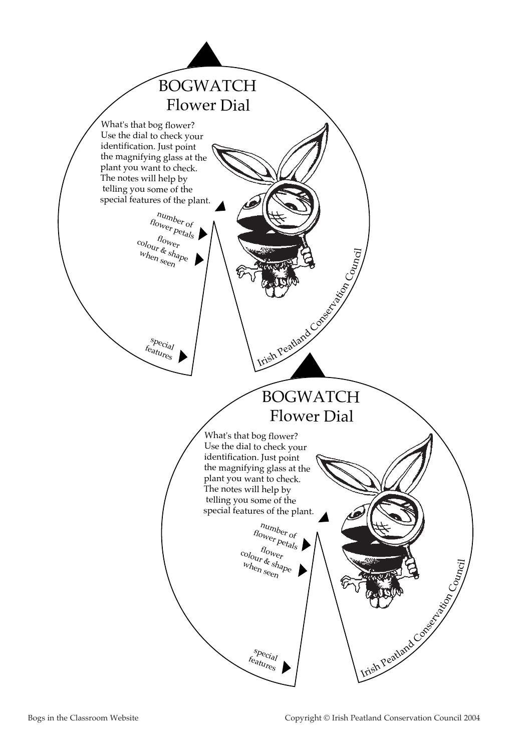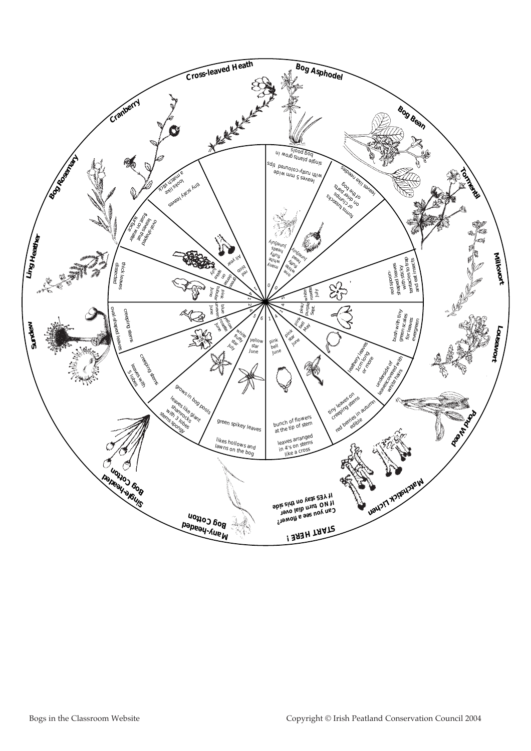